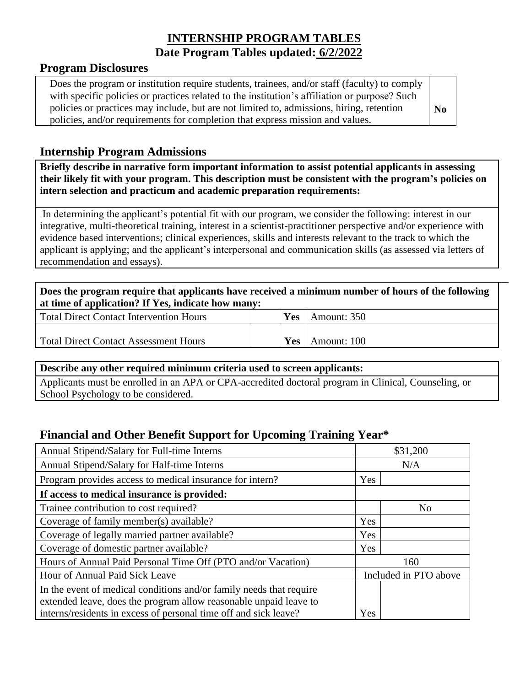# **INTERNSHIP PROGRAM TABLES Date Program Tables updated: 6/2/2022**

#### **Program Disclosures**

| Does the program or institution require students, trainees, and/or staff (faculty) to comply  |  |  |
|-----------------------------------------------------------------------------------------------|--|--|
| with specific policies or practices related to the institution's affiliation or purpose? Such |  |  |
| policies or practices may include, but are not limited to, admissions, hiring, retention      |  |  |
| policies, and/or requirements for completion that express mission and values.                 |  |  |

### **Internship Program Admissions**

**Briefly describe in narrative form important information to assist potential applicants in assessing their likely fit with your program. This description must be consistent with the program's policies on intern selection and practicum and academic preparation requirements:**

In determining the applicant's potential fit with our program, we consider the following: interest in our integrative, multi-theoretical training, interest in a scientist-practitioner perspective and/or experience with evidence based interventions; clinical experiences, skills and interests relevant to the track to which the applicant is applying; and the applicant's interpersonal and communication skills (as assessed via letters of recommendation and essays).

| Does the program require that applicants have received a minimum number of hours of the following<br>at time of application? If Yes, indicate how many: |  |     |                          |  |  |  |
|---------------------------------------------------------------------------------------------------------------------------------------------------------|--|-----|--------------------------|--|--|--|
| <b>Total Direct Contact Intervention Hours</b>                                                                                                          |  | Yes | Amount: 350              |  |  |  |
| Total Direct Contact Assessment Hours                                                                                                                   |  |     | <b>Yes</b>   Amount: 100 |  |  |  |

Total Direct Contact Assessment Hours

#### **Describe any other required minimum criteria used to screen applicants:**

Applicants must be enrolled in an APA or CPA-accredited doctoral program in Clinical, Counseling, or School Psychology to be considered.

## **Financial and Other Benefit Support for Upcoming Training Year\***

| Annual Stipend/Salary for Full-time Interns                                                                                           |                       | \$31,200 |
|---------------------------------------------------------------------------------------------------------------------------------------|-----------------------|----------|
| Annual Stipend/Salary for Half-time Interns                                                                                           |                       | N/A      |
| Program provides access to medical insurance for intern?                                                                              | Yes                   |          |
| If access to medical insurance is provided:                                                                                           |                       |          |
| Trainee contribution to cost required?                                                                                                |                       | No       |
| Coverage of family member(s) available?                                                                                               | Yes                   |          |
| Coverage of legally married partner available?                                                                                        | Yes                   |          |
| Coverage of domestic partner available?                                                                                               | Yes                   |          |
| Hours of Annual Paid Personal Time Off (PTO and/or Vacation)                                                                          | 160                   |          |
| Hour of Annual Paid Sick Leave                                                                                                        | Included in PTO above |          |
| In the event of medical conditions and/or family needs that require                                                                   |                       |          |
| extended leave, does the program allow reasonable unpaid leave to<br>interns/residents in excess of personal time off and sick leave? | Yes                   |          |